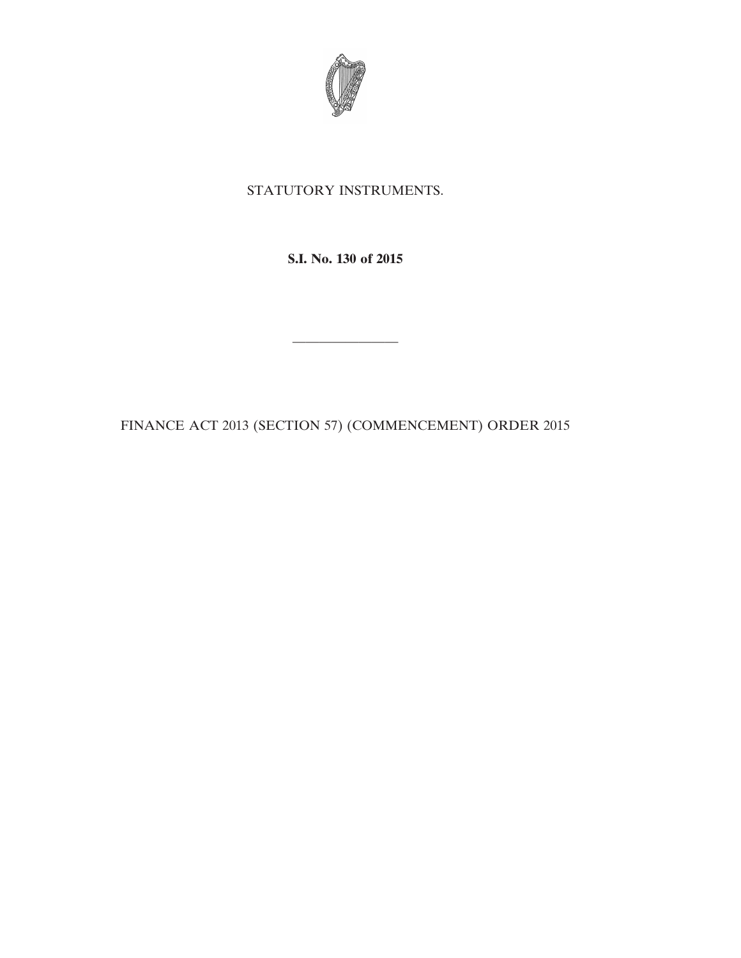

## STATUTORY INSTRUMENTS.

**S.I. No. 130 of 2015**

————————

FINANCE ACT 2013 (SECTION 57) (COMMENCEMENT) ORDER 2015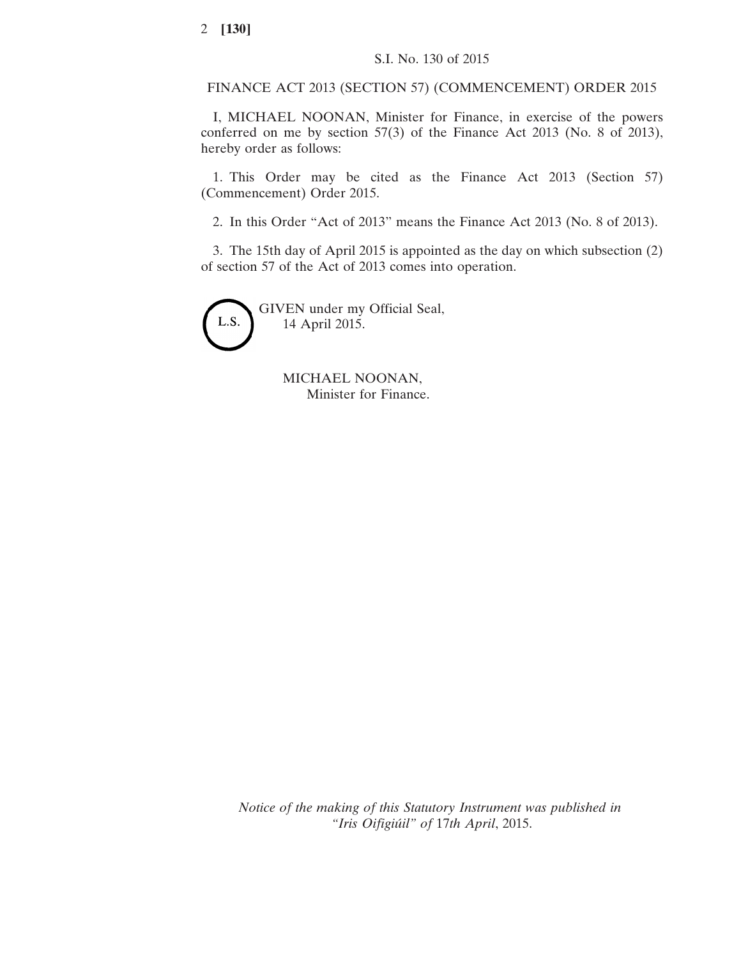FINANCE ACT 2013 (SECTION 57) (COMMENCEMENT) ORDER 2015

I, MICHAEL NOONAN, Minister for Finance, in exercise of the powers conferred on me by section 57(3) of the Finance Act 2013 (No. 8 of 2013), hereby order as follows:

1. This Order may be cited as the Finance Act 2013 (Section 57) (Commencement) Order 2015.

2. In this Order "Act of 2013" means the Finance Act 2013 (No. 8 of 2013).

3. The 15th day of April 2015 is appointed as the day on which subsection (2) of section 57 of the Act of 2013 comes into operation.



GIVEN under my Official Seal, 14 April 2015.

> MICHAEL NOONAN, Minister for Finance.

*Notice of the making of this Statutory Instrument was published in "Iris Oifigiúil" of* 17*th April*, 2015.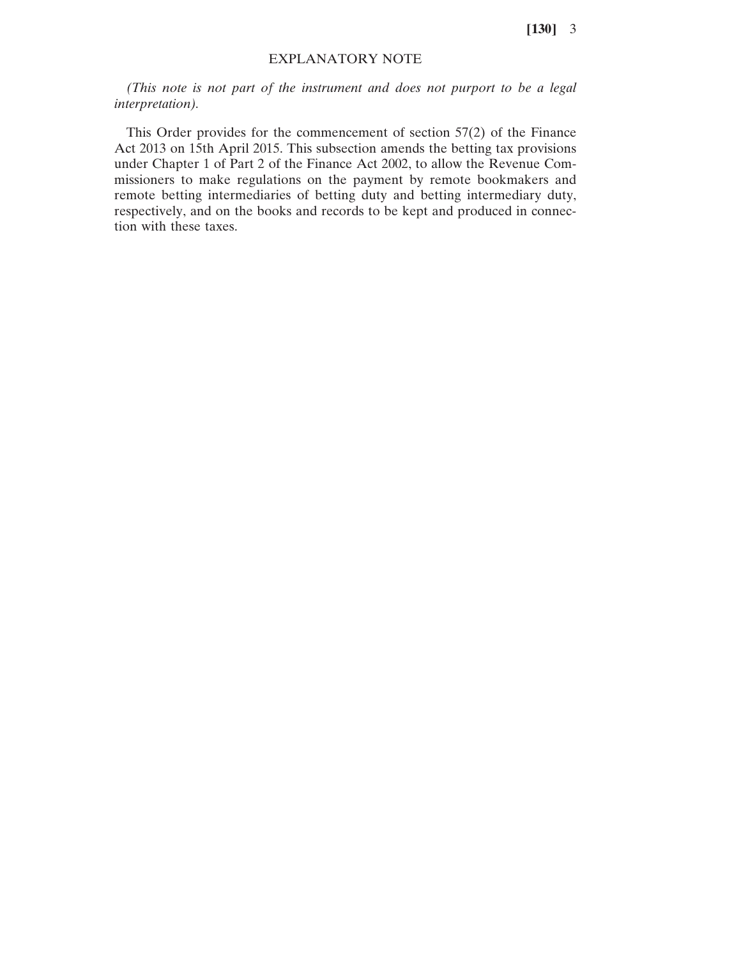**[130]** 3

## EXPLANATORY NOTE

*(This note is not part of the instrument and does not purport to be a legal interpretation).*

This Order provides for the commencement of section 57(2) of the Finance Act 2013 on 15th April 2015. This subsection amends the betting tax provisions under Chapter 1 of Part 2 of the Finance Act 2002, to allow the Revenue Commissioners to make regulations on the payment by remote bookmakers and remote betting intermediaries of betting duty and betting intermediary duty, respectively, and on the books and records to be kept and produced in connection with these taxes.